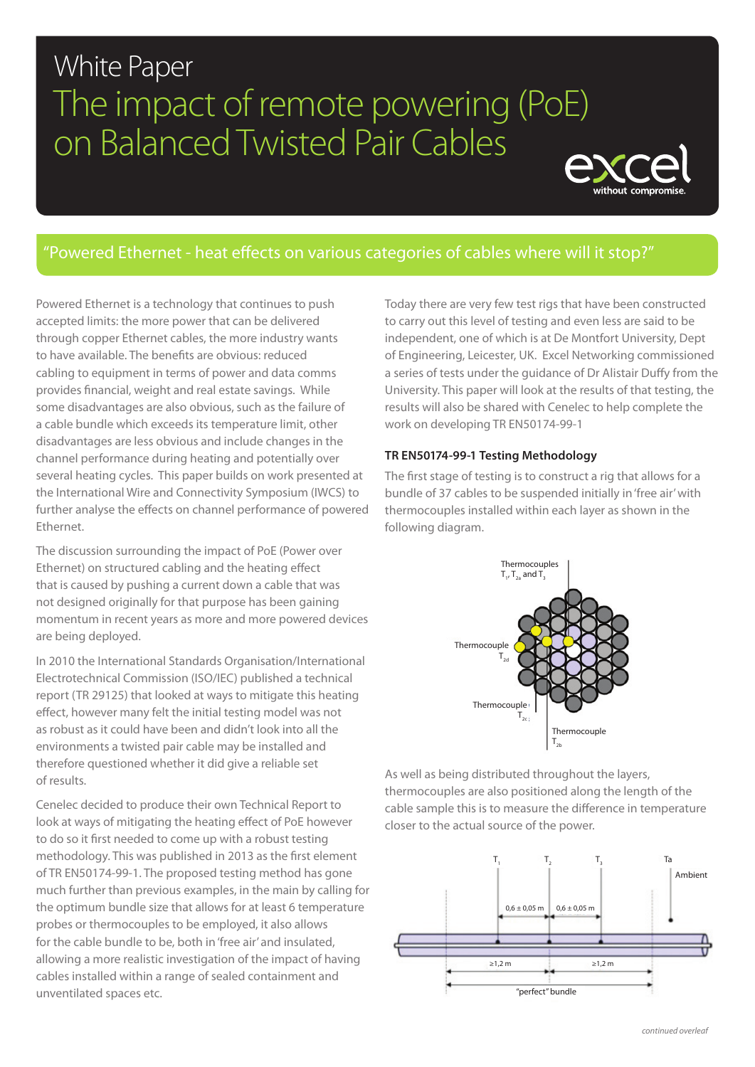# White Paper The impact of remote powering (PoE) on Balanced Twisted Pair Cables



# "Powered Ethernet - heat effects on various categories of cables where will it stop?"

Powered Ethernet is a technology that continues to push accepted limits: the more power that can be delivered through copper Ethernet cables, the more industry wants to have available. The benefits are obvious: reduced cabling to equipment in terms of power and data comms provides financial, weight and real estate savings. While some disadvantages are also obvious, such as the failure of a cable bundle which exceeds its temperature limit, other disadvantages are less obvious and include changes in the channel performance during heating and potentially over several heating cycles. This paper builds on work presented at the International Wire and Connectivity Symposium (IWCS) to further analyse the effects on channel performance of powered Ethernet.

The discussion surrounding the impact of PoE (Power over Ethernet) on structured cabling and the heating effect that is caused by pushing a current down a cable that was not designed originally for that purpose has been gaining momentum in recent years as more and more powered devices are being deployed.

In 2010 the International Standards Organisation/International Electrotechnical Commission (ISO/IEC) published a technical report (TR 29125) that looked at ways to mitigate this heating effect, however many felt the initial testing model was not as robust as it could have been and didn't look into all the environments a twisted pair cable may be installed and therefore questioned whether it did give a reliable set of results.

Cenelec decided to produce their own Technical Report to look at ways of mitigating the heating effect of PoE however to do so it first needed to come up with a robust testing methodology. This was published in 2013 as the first element of TR EN50174-99-1. The proposed testing method has gone much further than previous examples, in the main by calling for the optimum bundle size that allows for at least 6 temperature probes or thermocouples to be employed, it also allows for the cable bundle to be, both in 'free air' and insulated, allowing a more realistic investigation of the impact of having cables installed within a range of sealed containment and unventilated spaces etc.

Today there are very few test rigs that have been constructed to carry out this level of testing and even less are said to be independent, one of which is at De Montfort University, Dept of Engineering, Leicester, UK. Excel Networking commissioned a series of tests under the guidance of Dr Alistair Duffy from the University. This paper will look at the results of that testing, the results will also be shared with Cenelec to help complete the work on developing TR EN50174-99-1

# **TR EN50174-99-1 Testing Methodology**

The first stage of testing is to construct a rig that allows for a bundle of 37 cables to be suspended initially in 'free air' with thermocouples installed within each layer as shown in the following diagram.



As well as being distributed throughout the layers, thermocouples are also positioned along the length of the cable sample this is to measure the difference in temperature closer to the actual source of the power.

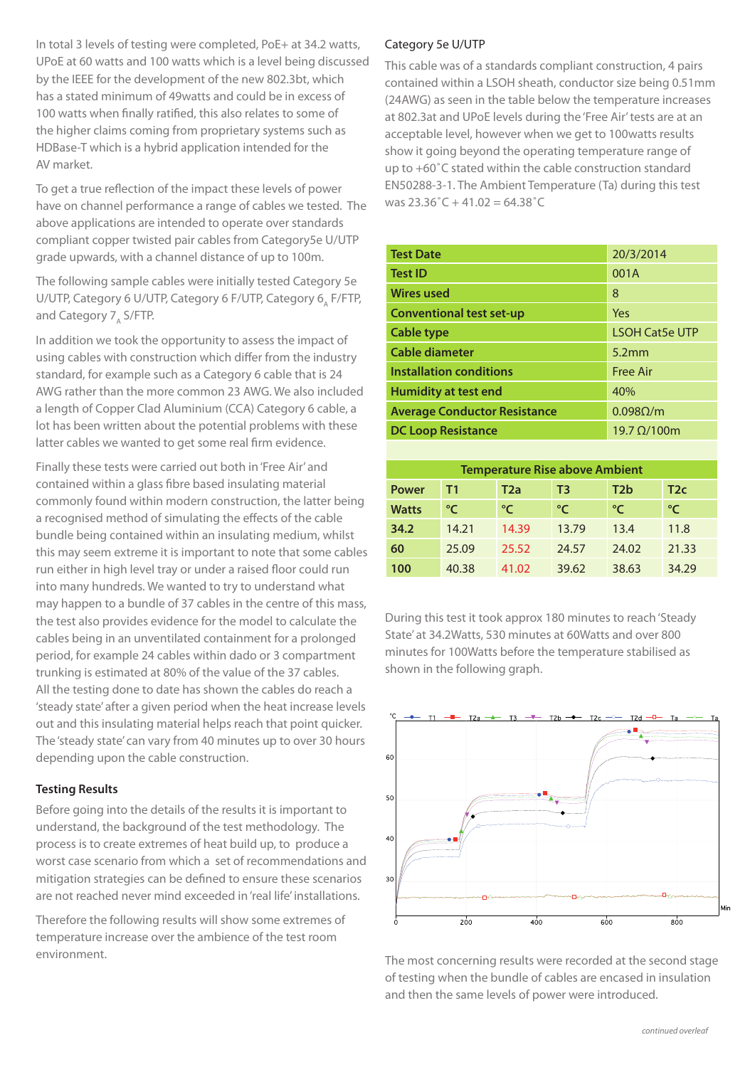In total 3 levels of testing were completed, PoE+ at 34.2 watts, UPoE at 60 watts and 100 watts which is a level being discussed by the IEEE for the development of the new 802.3bt, which has a stated minimum of 49watts and could be in excess of 100 watts when finally ratified, this also relates to some of the higher claims coming from proprietary systems such as HDBase-T which is a hybrid application intended for the AV market.

To get a true reflection of the impact these levels of power have on channel performance a range of cables we tested. The above applications are intended to operate over standards compliant copper twisted pair cables from Category5e U/UTP grade upwards, with a channel distance of up to 100m.

The following sample cables were initially tested Category 5e U/UTP, Category 6 U/UTP, Category 6 F/UTP, Category 6, F/FTP, and Category 7, S/FTP.

In addition we took the opportunity to assess the impact of using cables with construction which differ from the industry standard, for example such as a Category 6 cable that is 24 AWG rather than the more common 23 AWG. We also included a length of Copper Clad Aluminium (CCA) Category 6 cable, a lot has been written about the potential problems with these latter cables we wanted to get some real firm evidence.

Finally these tests were carried out both in 'Free Air' and contained within a glass fibre based insulating material commonly found within modern construction, the latter being a recognised method of simulating the effects of the cable bundle being contained within an insulating medium, whilst this may seem extreme it is important to note that some cables run either in high level tray or under a raised floor could run into many hundreds. We wanted to try to understand what may happen to a bundle of 37 cables in the centre of this mass, the test also provides evidence for the model to calculate the cables being in an unventilated containment for a prolonged period, for example 24 cables within dado or 3 compartment trunking is estimated at 80% of the value of the 37 cables. All the testing done to date has shown the cables do reach a 'steady state' after a given period when the heat increase levels out and this insulating material helps reach that point quicker. The 'steady state' can vary from 40 minutes up to over 30 hours depending upon the cable construction.

# **Testing Results**

Before going into the details of the results it is important to understand, the background of the test methodology. The process is to create extremes of heat build up, to produce a worst case scenario from which a set of recommendations and mitigation strategies can be defined to ensure these scenarios are not reached never mind exceeded in 'real life' installations.

Therefore the following results will show some extremes of temperature increase over the ambience of the test room environment.

### Category 5e U/UTP

This cable was of a standards compliant construction, 4 pairs contained within a LSOH sheath, conductor size being 0.51mm (24AWG) as seen in the table below the temperature increases at 802.3at and UPoE levels during the 'Free Air' tests are at an acceptable level, however when we get to 100watts results show it going beyond the operating temperature range of up to +60˚C stated within the cable construction standard EN50288-3-1. The Ambient Temperature (Ta) during this test was  $23.36^{\circ}$ C + 41.02 = 64.38 $^{\circ}$ C

| <b>Test Date</b>                    | 20/3/2014             |  |
|-------------------------------------|-----------------------|--|
| <b>Test ID</b>                      | 001A                  |  |
| <b>Wires used</b>                   | 8                     |  |
| <b>Conventional test set-up</b>     | Yes                   |  |
| <b>Cable type</b>                   | <b>LSOH Cat5e UTP</b> |  |
| Cable diameter                      | 5.2mm                 |  |
| <b>Installation conditions</b>      | <b>Free Air</b>       |  |
| <b>Humidity at test end</b>         | 40%                   |  |
| <b>Average Conductor Resistance</b> | $0.098\Omega/m$       |  |
| <b>DC Loop Resistance</b>           | 19.7 $\Omega$ /100m   |  |

| <b>Temperature Rise above Ambient</b> |       |                                                   |       |       |       |  |  |  |  |
|---------------------------------------|-------|---------------------------------------------------|-------|-------|-------|--|--|--|--|
| <b>Power</b>                          | T1    | T <sub>2</sub> b<br>T2a<br>T <sub>2</sub> c<br>T3 |       |       |       |  |  |  |  |
| <b>Watts</b>                          | °⊂    | °⊂                                                | °⊂    | °⊂    | °⊂    |  |  |  |  |
| 34.2                                  | 14.21 | 14.39                                             | 13.79 | 13.4  | 11.8  |  |  |  |  |
| 60                                    | 25.09 | 25.52                                             | 24.57 | 24.02 | 21.33 |  |  |  |  |
| 100                                   | 40.38 | 41.02                                             | 39.62 | 38.63 | 34.29 |  |  |  |  |

During this test it took approx 180 minutes to reach 'Steady State' at 34.2Watts, 530 minutes at 60Watts and over 800 minutes for 100Watts before the temperature stabilised as shown in the following graph.



The most concerning results were recorded at the second stage of testing when the bundle of cables are encased in insulation and then the same levels of power were introduced.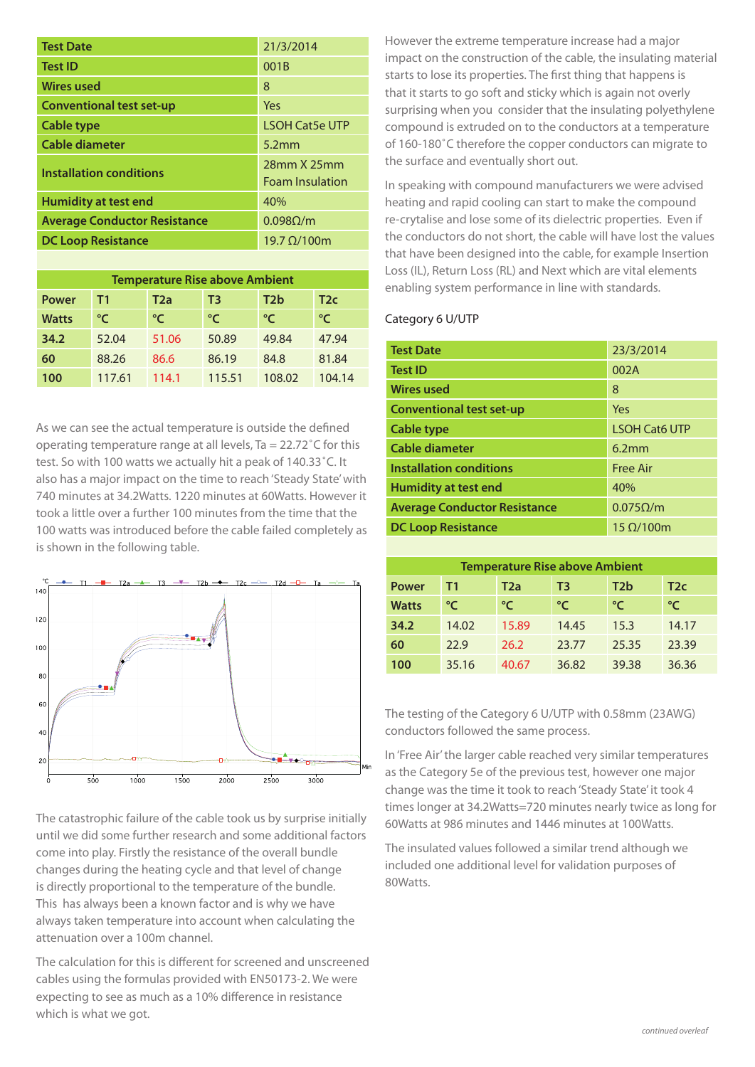| <b>Test Date</b>                    | 21/3/2014              |  |
|-------------------------------------|------------------------|--|
| <b>Test ID</b>                      | 001B                   |  |
| <b>Wires used</b>                   | 8                      |  |
| <b>Conventional test set-up</b>     | Yes                    |  |
| Cable type                          | <b>LSOH Cat5e UTP</b>  |  |
| Cable diameter                      | 5.2 <sub>mm</sub>      |  |
| <b>Installation conditions</b>      | 28mm X 25mm            |  |
|                                     | <b>Foam Insulation</b> |  |
| Humidity at test end                | 40%                    |  |
| <b>Average Conductor Resistance</b> | $0.098\Omega/m$        |  |
| <b>DC Loop Resistance</b>           | $19.7 \Omega/100$ m    |  |
|                                     |                        |  |

| <b>Temperature Rise above Ambient</b> |        |                                                   |        |        |        |  |  |  |  |
|---------------------------------------|--------|---------------------------------------------------|--------|--------|--------|--|--|--|--|
| <b>Power</b>                          | Τ1     | T <sub>2</sub> b<br>T2a<br>T3<br>T <sub>2</sub> c |        |        |        |  |  |  |  |
| <b>Watts</b>                          | °⊂     | °⊂                                                | °⊂     | °⊂     | °⊂     |  |  |  |  |
| 34.2                                  | 52.04  | 51.06                                             | 50.89  | 49.84  | 47.94  |  |  |  |  |
| 60                                    | 88.26  | 86.6                                              | 86.19  | 84.8   | 81.84  |  |  |  |  |
| 100                                   | 117.61 | 114.1                                             | 115.51 | 108.02 | 104.14 |  |  |  |  |

As we can see the actual temperature is outside the defined operating temperature range at all levels. Ta =  $22.72^{\circ}$ C for this test. So with 100 watts we actually hit a peak of 140.33˚C. It also has a major impact on the time to reach 'Steady State' with 740 minutes at 34.2Watts. 1220 minutes at 60Watts. However it took a little over a further 100 minutes from the time that the 100 watts was introduced before the cable failed completely as is shown in the following table.



The catastrophic failure of the cable took us by surprise initially until we did some further research and some additional factors come into play. Firstly the resistance of the overall bundle changes during the heating cycle and that level of change is directly proportional to the temperature of the bundle. This has always been a known factor and is why we have always taken temperature into account when calculating the attenuation over a 100m channel.

The calculation for this is different for screened and unscreened cables using the formulas provided with EN50173-2. We were expecting to see as much as a 10% difference in resistance which is what we got.

However the extreme temperature increase had a major impact on the construction of the cable, the insulating material starts to lose its properties. The first thing that happens is that it starts to go soft and sticky which is again not overly surprising when you consider that the insulating polyethylene compound is extruded on to the conductors at a temperature of 160-180˚C therefore the copper conductors can migrate to the surface and eventually short out.

In speaking with compound manufacturers we were advised heating and rapid cooling can start to make the compound re-crytalise and lose some of its dielectric properties. Even if the conductors do not short, the cable will have lost the values that have been designed into the cable, for example Insertion Loss (IL), Return Loss (RL) and Next which are vital elements enabling system performance in line with standards.

# Category 6 U/UTP

| <b>Test Date</b>                    | 23/3/2014            |  |
|-------------------------------------|----------------------|--|
| <b>Test ID</b>                      | 002A                 |  |
| <b>Wires used</b>                   | 8                    |  |
| <b>Conventional test set-up</b>     | Yes                  |  |
| Cable type                          | <b>LSOH Cat6 UTP</b> |  |
| Cable diameter                      | 6.2mm                |  |
| <b>Installation conditions</b>      | <b>Free Air</b>      |  |
| <b>Humidity at test end</b>         | 40%                  |  |
| <b>Average Conductor Resistance</b> | $0.075\Omega/m$      |  |
| <b>DC Loop Resistance</b>           | $15 \Omega/100$ m    |  |

| <b>Temperature Rise above Ambient</b> |       |                                     |               |       |       |  |  |  |  |
|---------------------------------------|-------|-------------------------------------|---------------|-------|-------|--|--|--|--|
| <b>Power</b>                          | T1    | T2b<br>T3<br>T <sub>2c</sub><br>T2a |               |       |       |  |  |  |  |
| <b>Watts</b>                          | °⊂    | °C                                  | $\mathcal{C}$ | °⊂    | °⊂    |  |  |  |  |
| 34.2                                  | 14.02 | 15.89                               | 14.45         | 15.3  | 14.17 |  |  |  |  |
| 60                                    | 22.9  | 26.2                                | 23.77         | 25.35 | 23.39 |  |  |  |  |
| 100                                   | 35.16 | 40.67                               | 36.82         | 39.38 | 36.36 |  |  |  |  |

The testing of the Category 6 U/UTP with 0.58mm (23AWG) conductors followed the same process.

In 'Free Air' the larger cable reached very similar temperatures as the Category 5e of the previous test, however one major change was the time it took to reach 'Steady State' it took 4 times longer at 34.2Watts=720 minutes nearly twice as long for 60Watts at 986 minutes and 1446 minutes at 100Watts.

The insulated values followed a similar trend although we included one additional level for validation purposes of 80Watts.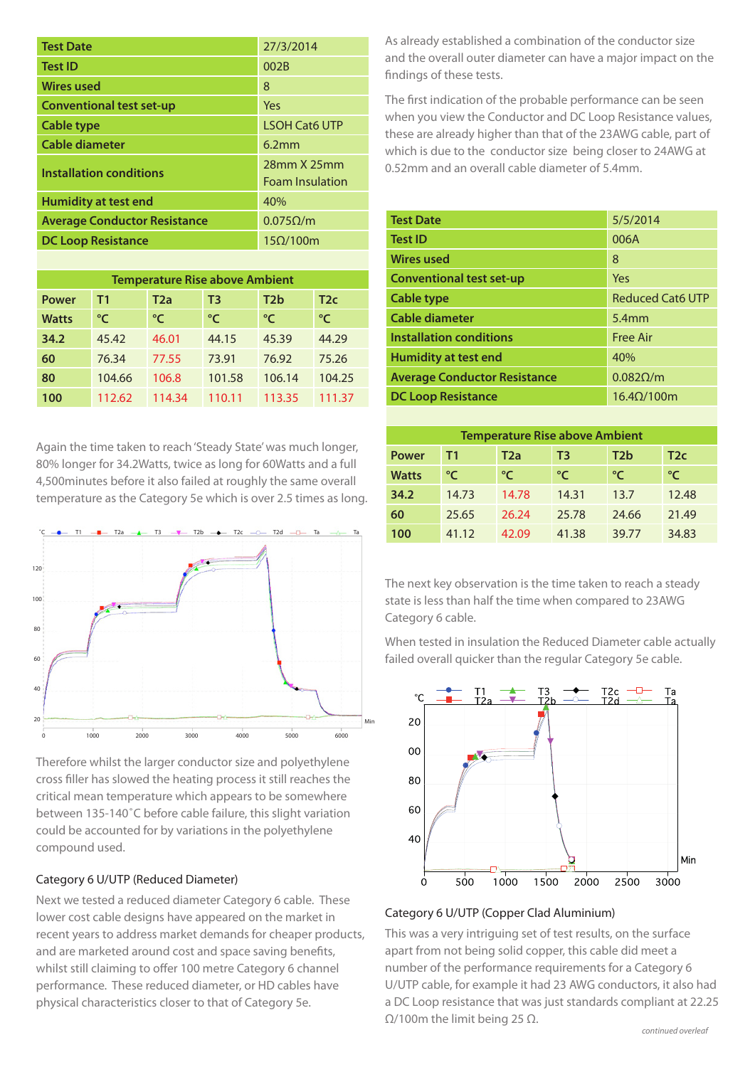| <b>Test Date</b>                    | 27/3/2014                             |  |
|-------------------------------------|---------------------------------------|--|
| <b>Test ID</b>                      | 002B                                  |  |
| <b>Wires used</b>                   | 8                                     |  |
| <b>Conventional test set-up</b>     | Yes                                   |  |
| Cable type                          | <b>LSOH Cat6 UTP</b>                  |  |
| Cable diameter                      | 6.2mm                                 |  |
| <b>Installation conditions</b>      | 28mm X 25mm<br><b>Foam Insulation</b> |  |
| <b>Humidity at test end</b>         | 40%                                   |  |
| <b>Average Conductor Resistance</b> | $0.075\Omega/m$                       |  |
| <b>DC Loop Resistance</b>           | $15\Omega/100m$                       |  |

| <b>Temperature Rise above Ambient</b> |        |                                                   |        |               |        |  |  |  |  |  |
|---------------------------------------|--------|---------------------------------------------------|--------|---------------|--------|--|--|--|--|--|
| <b>Power</b>                          | T1     | T <sub>2</sub> b<br>T <sub>2</sub> a<br>T2c<br>T3 |        |               |        |  |  |  |  |  |
| <b>Watts</b>                          | ℃      | °C                                                | °C     | $\mathcal{C}$ | °C     |  |  |  |  |  |
| 34.2                                  | 45.42  | 46.01                                             | 44.15  | 45.39         | 44.29  |  |  |  |  |  |
| 60                                    | 76.34  | 77.55                                             | 73.91  | 76.92         | 75.26  |  |  |  |  |  |
| 80                                    | 104.66 | 106.8                                             | 101.58 | 106.14        | 104.25 |  |  |  |  |  |
| 100                                   | 112.62 | 114.34                                            | 110.11 | 113.35        | 111.37 |  |  |  |  |  |

Again the time taken to reach 'Steady State' was much longer, 80% longer for 34.2Watts, twice as long for 60Watts and a full 4,500minutes before it also failed at roughly the same overall temperature as the Category 5e which is over 2.5 times as long.



Therefore whilst the larger conductor size and polyethylene cross filler has slowed the heating process it still reaches the critical mean temperature which appears to be somewhere between 135-140˚C before cable failure, this slight variation could be accounted for by variations in the polyethylene compound used.

# Category 6 U/UTP (Reduced Diameter)

Next we tested a reduced diameter Category 6 cable. These lower cost cable designs have appeared on the market in recent years to address market demands for cheaper products, and are marketed around cost and space saving benefits, whilst still claiming to offer 100 metre Category 6 channel performance. These reduced diameter, or HD cables have physical characteristics closer to that of Category 5e.

As already established a combination of the conductor size and the overall outer diameter can have a major impact on the findings of these tests.

The first indication of the probable performance can be seen when you view the Conductor and DC Loop Resistance values, these are already higher than that of the 23AWG cable, part of which is due to the conductor size being closer to 24AWG at 0.52mm and an overall cable diameter of 5.4mm.

| <b>Test Date</b>                    | 5/5/2014                |
|-------------------------------------|-------------------------|
| <b>Test ID</b>                      | 006A                    |
| <b>Wires used</b>                   | 8                       |
| <b>Conventional test set-up</b>     | Yes                     |
| Cable type                          | <b>Reduced Cat6 UTP</b> |
| Cable diameter                      | $5.4$ mm                |
| <b>Installation conditions</b>      | <b>Free Air</b>         |
| <b>Humidity at test end</b>         | 40%                     |
| <b>Average Conductor Resistance</b> | $0.082\Omega/m$         |
| <b>DC Loop Resistance</b>           | $16.4 \Omega/100$ m     |

| <b>Temperature Rise above Ambient</b> |       |                                     |             |       |       |  |  |  |  |
|---------------------------------------|-------|-------------------------------------|-------------|-------|-------|--|--|--|--|
| <b>Power</b>                          | T1    | T2b<br>T <sub>2c</sub><br>T2a<br>T3 |             |       |       |  |  |  |  |
| <b>Watts</b>                          | °⊂    | °⊂                                  | $^{\circ}C$ | °⊂    | °⊂    |  |  |  |  |
| 34.2                                  | 14.73 | 14.78                               | 14.31       | 13.7  | 12.48 |  |  |  |  |
| 60                                    | 25.65 | 26.24                               | 25.78       | 24.66 | 21.49 |  |  |  |  |
| 100                                   | 41.12 | 42.09                               | 41.38       | 39.77 | 34.83 |  |  |  |  |

The next key observation is the time taken to reach a steady state is less than half the time when compared to 23AWG Category 6 cable.

When tested in insulation the Reduced Diameter cable actually failed overall quicker than the regular Category 5e cable.



#### Category 6 U/UTP (Copper Clad Aluminium)

This was a very intriguing set of test results, on the surface apart from not being solid copper, this cable did meet a number of the performance requirements for a Category 6 U/UTP cable, for example it had 23 AWG conductors, it also had a DC Loop resistance that was just standards compliant at 22.25 Ω/100m the limit being 25 Ω.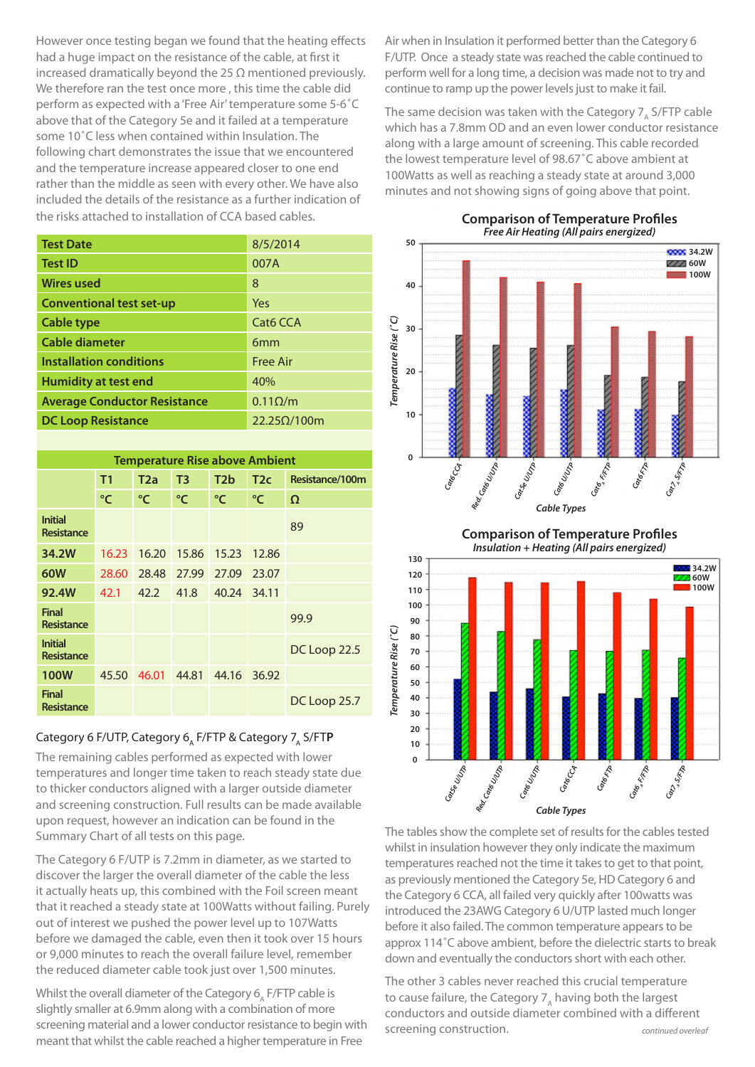However once testing began we found that the heating effects had a huge impact on the resistance of the cable, at first it increased dramatically beyond the 25  $\Omega$  mentioned previously. We therefore ran the test once more , this time the cable did perform as expected with a 'Free Air' temperature some 5-6˚C above that of the Category 5e and it failed at a temperature some 10˚C less when contained within Insulation. The following chart demonstrates the issue that we encountered and the temperature increase appeared closer to one end rather than the middle as seen with every other. We have also included the details of the resistance as a further indication of the risks attached to installation of CCA based cables.

| <b>Test Date</b>                    | 8/5/2014           |  |  |
|-------------------------------------|--------------------|--|--|
| <b>Test ID</b>                      | 007A               |  |  |
| <b>Wires used</b>                   | 8                  |  |  |
| <b>Conventional test set-up</b>     | Yes                |  |  |
| Cable type                          | Cat6 CCA           |  |  |
| Cable diameter                      | 6 <sub>mm</sub>    |  |  |
| <b>Installation conditions</b>      | <b>Free Air</b>    |  |  |
| <b>Humidity at test end</b>         | 40%                |  |  |
| <b>Average Conductor Resistance</b> | $0.11\Omega/m$     |  |  |
| <b>DC Loop Resistance</b>           | $22.25\Omega/100m$ |  |  |

| <b>Temperature Rise above Ambient</b> |                |       |                |                 |       |                 |  |
|---------------------------------------|----------------|-------|----------------|-----------------|-------|-----------------|--|
|                                       | T <sub>1</sub> | T2a   | T <sub>3</sub> | T <sub>2b</sub> | T2c   | Resistance/100m |  |
|                                       | °C             | °C    | °C             | °C              | °C    | $\Omega$        |  |
| <b>Initial</b><br>Resistance          |                |       |                |                 |       | 89              |  |
| 34.2W                                 | 16.23          | 16.20 | 15.86          | 15.23           | 12.86 |                 |  |
| 60W                                   | 28.60          | 28.48 | 27.99          | 27.09           | 23.07 |                 |  |
| 92.4W                                 | 42.1           | 42.2  | 41.8           | 40.24           | 34.11 |                 |  |
| <b>Final</b><br>Resistance            |                |       |                |                 |       | 99.9            |  |
| <b>Initial</b><br>Resistance          |                |       |                |                 |       | DC Loop 22.5    |  |
| <b>100W</b>                           | 45.50          | 46.01 | 44.81          | 44.16           | 36.92 |                 |  |
| <b>Final</b><br>Resistance            |                |       |                |                 |       | DC Loop 25.7    |  |

# Category 6 F/UTP, Category 6<sub>A</sub> F/FTP & Category 7<sub>A</sub> S/FTP

The remaining cables performed as expected with lower temperatures and longer time taken to reach steady state due to thicker conductors aligned with a larger outside diameter and screening construction. Full results can be made available upon request, however an indication can be found in the Summary Chart of all tests on this page.

The Category 6 F/UTP is 7.2mm in diameter, as we started to discover the larger the overall diameter of the cable the less it actually heats up, this combined with the Foil screen meant that it reached a steady state at 100Watts without failing. Purely out of interest we pushed the power level up to 107Watts before we damaged the cable, even then it took over 15 hours or 9,000 minutes to reach the overall failure level, remember the reduced diameter cable took just over 1,500 minutes.

Whilst the overall diameter of the Category  $6$ , F/FTP cable is slightly smaller at 6.9mm along with a combination of more screening material and a lower conductor resistance to begin with meant that whilst the cable reached a higher temperature in Free

Air when in Insulation it performed better than the Category 6 F/UTP. Once a steady state was reached the cable continued to perform well for a long time, a decision was made not to try and continue to ramp up the power levels just to make it fail.

The same decision was taken with the Category  $7_A$  S/FTP cable which has a 7.8mm OD and an even lower conductor resistance along with a large amount of screening. This cable recorded the lowest temperature level of 98.67˚C above ambient at 100Watts as well as reaching a steady state at around 3,000 minutes and not showing signs of going above that point.

**50**

**40**

**30**

**20**

*Temperature Rise (˚C)*

Temperature Rise (°C)

**10**

**0**

*Free Air Heating (All pairs energized)* **34.2W ZZZ** 60W **100W**

**Comparison of Temperature Profiles**



*Cable Types*

**Comparison of Temperature Profiles**



The tables show the complete set of results for the cables tested whilst in insulation however they only indicate the maximum temperatures reached not the time it takes to get to that point, as previously mentioned the Category 5e, HD Category 6 and the Category 6 CCA, all failed very quickly after 100watts was introduced the 23AWG Category 6 U/UTP lasted much longer before it also failed. The common temperature appears to be approx 114˚C above ambient, before the dielectric starts to break down and eventually the conductors short with each other.

The other 3 cables never reached this crucial temperature to cause failure, the Category  $7_A$  having both the largest conductors and outside diameter combined with a different screening construction. *continued overleaf*